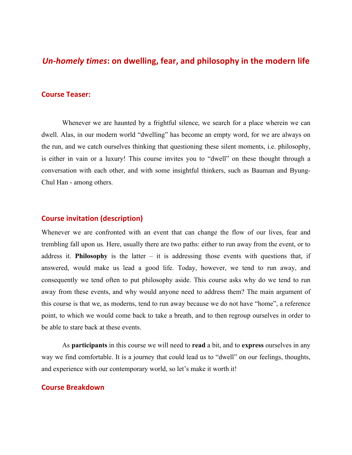# *Un-homely times*: on dwelling, fear, and philosophy in the modern life

### **Course Teaser:**

Whenever we are haunted by a frightful silence, we search for a place wherein we can dwell. Alas, in our modern world "dwelling" has become an empty word, for we are always on the run, and we catch ourselves thinking that questioning these silent moments, i.e. philosophy, is either in vain or a luxury! This course invites you to "dwell" on these thought through a conversation with each other, and with some insightful thinkers, such as Bauman and Byung-Chul Han - among others.

#### **Course invitation (description)**

Whenever we are confronted with an event that can change the flow of our lives, fear and trembling fall upon us. Here, usually there are two paths: either to run away from the event, or to address it. **Philosophy** is the latter – it is addressing those events with questions that, if answered, would make us lead a good life. Today, however, we tend to run away, and consequently we tend often to put philosophy aside. This course asks why do we tend to run away from these events, and why would anyone need to address them? The main argument of this course is that we, as moderns, tend to run away because we do not have "home", a reference point, to which we would come back to take a breath, and to then regroup ourselves in order to be able to stare back at these events.

As **participants** in this course we will need to **read** a bit, and to **express** ourselves in any way we find comfortable. It is a journey that could lead us to "dwell" on our feelings, thoughts, and experience with our contemporary world, so let's make it worth it!

#### **Course Breakdown**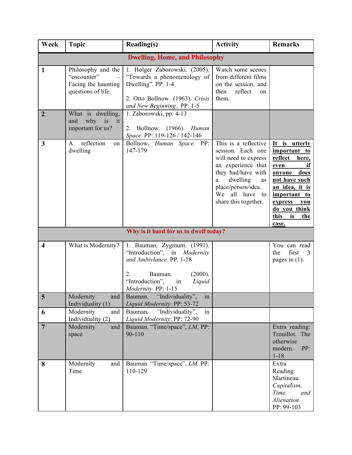| Week                                  | <b>Topic</b>                                                                   | <b>Reading(s)</b>                                                                                                                                                          | <b>Activity</b>                                                                                                                                                                                      | <b>Remarks</b>                                                                                                                                                                           |  |  |
|---------------------------------------|--------------------------------------------------------------------------------|----------------------------------------------------------------------------------------------------------------------------------------------------------------------------|------------------------------------------------------------------------------------------------------------------------------------------------------------------------------------------------------|------------------------------------------------------------------------------------------------------------------------------------------------------------------------------------------|--|--|
| <b>Dwelling, Home, and Philosophy</b> |                                                                                |                                                                                                                                                                            |                                                                                                                                                                                                      |                                                                                                                                                                                          |  |  |
| $\mathbf{1}$                          | Philosophy and the<br>"encounter"<br>Facing the haunting<br>questions of life. | 1. Holger Zaborowski. (2005).<br>"Towards a phenomenology of<br>Dwelling". PP. 1-4<br>2. Otto Bollnow. (1963). Crisis<br>and New Beginning PP: 1-5                         | Watch some scenes<br>from different films<br>on the session, and<br>then<br>reflect<br>on<br>them.                                                                                                   |                                                                                                                                                                                          |  |  |
| $\overline{2}$                        | What is dwelling,<br>why<br>i <sub>S</sub><br>and<br>it<br>important for us?   | 1. Zaborowski, pp: 4-13<br>2. Bollnow. (1966). Human<br>Space. PP: 119-126 / 142-146                                                                                       |                                                                                                                                                                                                      |                                                                                                                                                                                          |  |  |
| $\mathbf{3}$                          | reflection<br>$\mathsf{A}$<br>on  <br>dwelling                                 | Bollnow, Human Space. PP:<br>147-179                                                                                                                                       | This is a reflective<br>session. Each one<br>will need to express<br>an experience that<br>they had/have with<br>dwelling<br>as<br>a<br>place/person/idea.<br>We all have to<br>share this together. | It is utterly<br>important to<br>reflect here,<br>if<br>even<br>anyone does<br>not have such<br>an idea, it is<br>important to<br>express you<br>do you think<br>this is<br>the<br>case. |  |  |
| Why is it hard for us to dwell today? |                                                                                |                                                                                                                                                                            |                                                                                                                                                                                                      |                                                                                                                                                                                          |  |  |
| $\overline{\mathbf{4}}$               | What is Modernity?                                                             | 1. Bauman, Zygmunt. (1991).<br>"Introduction", in Modernity<br>and Ambivlance. PP. 1-18<br>2.<br>Bauman.<br>(2000).<br>"Introduction", in<br>Liquid<br>Modernity. PP: 1-15 |                                                                                                                                                                                                      | You can read<br>first<br>the<br>3<br>pages in $(1)$ .                                                                                                                                    |  |  |
| 5                                     | Modernity<br>and<br>Individuality (1)                                          | Bauman. "Individuality",<br>in<br>Liquid Modernity. PP: 53-72                                                                                                              |                                                                                                                                                                                                      |                                                                                                                                                                                          |  |  |
| 6                                     | Modernity<br>and<br>Individuality (2)                                          | "Individuality",<br>Bauman.<br>in<br>Liquid Modernity. PP: 72-90                                                                                                           |                                                                                                                                                                                                      |                                                                                                                                                                                          |  |  |
| $\overline{7}$                        | Modernity<br>and<br>space                                                      | Bauman. "Time/space", LM. PP:<br>90-110                                                                                                                                    |                                                                                                                                                                                                      | Extra reading:<br>Trouillot. The<br>otherwise<br>modern.<br>PP:<br>$1 - 18$                                                                                                              |  |  |
| 8                                     | Modernity<br>and<br>Time                                                       | Bauman. "Time/space", LM. PP:<br>110-129                                                                                                                                   |                                                                                                                                                                                                      | Extra<br>Reading:<br>Martineau.<br>Capitalism,<br>Time,<br>and<br>Alienation.<br>PP: 99-103                                                                                              |  |  |